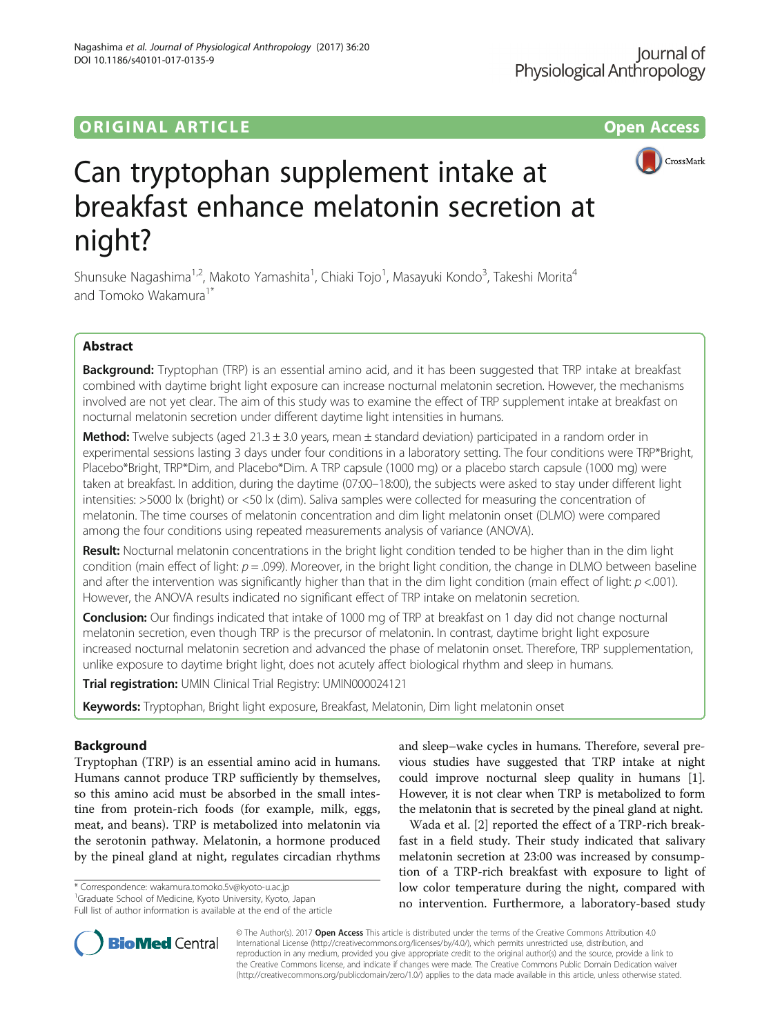# ORIGINAL ARTICLE **CONSERVANCE IN A LOCAL CONSERVANCE IN A LOCAL CONSERVANCE IN A LOCAL CONSERVANCE IN A LOCAL CONS**





# Can tryptophan supplement intake at breakfast enhance melatonin secretion at night?

Shunsuke Nagashima<sup>1,2</sup>, Makoto Yamashita<sup>1</sup>, Chiaki Tojo<sup>1</sup>, Masayuki Kondo<sup>3</sup>, Takeshi Morita<sup>4</sup> and Tomoko Wakamura<sup>1\*</sup>

# Abstract

Background: Tryptophan (TRP) is an essential amino acid, and it has been suggested that TRP intake at breakfast combined with daytime bright light exposure can increase nocturnal melatonin secretion. However, the mechanisms involved are not yet clear. The aim of this study was to examine the effect of TRP supplement intake at breakfast on nocturnal melatonin secretion under different daytime light intensities in humans.

**Method:** Twelve subjects (aged  $21.3 \pm 3.0$  years, mean  $\pm$  standard deviation) participated in a random order in experimental sessions lasting 3 days under four conditions in a laboratory setting. The four conditions were TRP\*Bright, Placebo\*Bright, TRP\*Dim, and Placebo\*Dim. A TRP capsule (1000 mg) or a placebo starch capsule (1000 mg) were taken at breakfast. In addition, during the daytime (07:00–18:00), the subjects were asked to stay under different light intensities: >5000 lx (bright) or <50 lx (dim). Saliva samples were collected for measuring the concentration of melatonin. The time courses of melatonin concentration and dim light melatonin onset (DLMO) were compared among the four conditions using repeated measurements analysis of variance (ANOVA).

Result: Nocturnal melatonin concentrations in the bright light condition tended to be higher than in the dim light condition (main effect of light:  $p = .099$ ). Moreover, in the bright light condition, the change in DLMO between baseline and after the intervention was significantly higher than that in the dim light condition (main effect of light:  $p$  <.001). However, the ANOVA results indicated no significant effect of TRP intake on melatonin secretion.

**Conclusion:** Our findings indicated that intake of 1000 mg of TRP at breakfast on 1 day did not change nocturnal melatonin secretion, even though TRP is the precursor of melatonin. In contrast, daytime bright light exposure increased nocturnal melatonin secretion and advanced the phase of melatonin onset. Therefore, TRP supplementation, unlike exposure to daytime bright light, does not acutely affect biological rhythm and sleep in humans.

Trial registration: UMIN Clinical Trial Registry: [UMIN000024121](https://upload.umin.ac.jp/cgi-open-bin/ctr_e/ctr_view.cgi?recptno=R000027771)

Keywords: Tryptophan, Bright light exposure, Breakfast, Melatonin, Dim light melatonin onset

# Background

Tryptophan (TRP) is an essential amino acid in humans. Humans cannot produce TRP sufficiently by themselves, so this amino acid must be absorbed in the small intestine from protein-rich foods (for example, milk, eggs, meat, and beans). TRP is metabolized into melatonin via the serotonin pathway. Melatonin, a hormone produced by the pineal gland at night, regulates circadian rhythms

\* Correspondence: [wakamura.tomoko.5v@kyoto-u.ac.jp](mailto:wakamura.tomoko.5v@kyoto-u.ac.jp) <sup>1</sup>

<sup>1</sup>Graduate School of Medicine, Kyoto University, Kyoto, Japan Full list of author information is available at the end of the article and sleep–wake cycles in humans. Therefore, several previous studies have suggested that TRP intake at night could improve nocturnal sleep quality in humans [[1](#page-7-0)]. However, it is not clear when TRP is metabolized to form the melatonin that is secreted by the pineal gland at night.

Wada et al. [\[2](#page-7-0)] reported the effect of a TRP-rich breakfast in a field study. Their study indicated that salivary melatonin secretion at 23:00 was increased by consumption of a TRP-rich breakfast with exposure to light of low color temperature during the night, compared with no intervention. Furthermore, a laboratory-based study



© The Author(s). 2017 **Open Access** This article is distributed under the terms of the Creative Commons Attribution 4.0 International License [\(http://creativecommons.org/licenses/by/4.0/](http://creativecommons.org/licenses/by/4.0/)), which permits unrestricted use, distribution, and reproduction in any medium, provided you give appropriate credit to the original author(s) and the source, provide a link to the Creative Commons license, and indicate if changes were made. The Creative Commons Public Domain Dedication waiver [\(http://creativecommons.org/publicdomain/zero/1.0/](http://creativecommons.org/publicdomain/zero/1.0/)) applies to the data made available in this article, unless otherwise stated.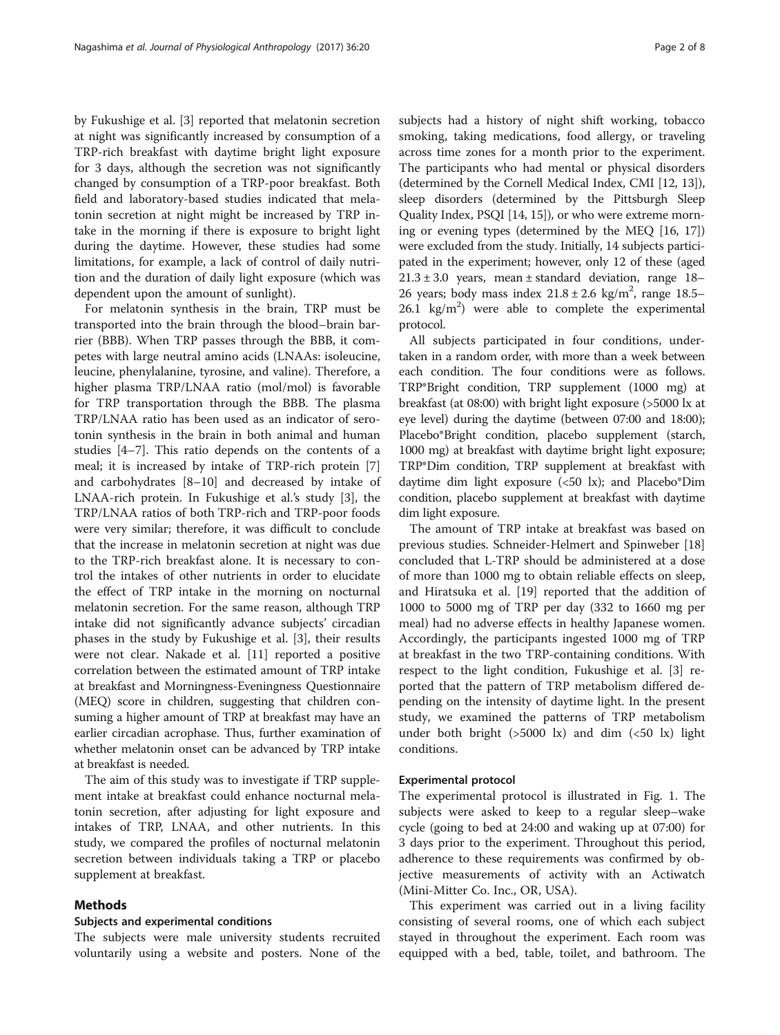by Fukushige et al. [\[3](#page-7-0)] reported that melatonin secretion at night was significantly increased by consumption of a TRP-rich breakfast with daytime bright light exposure for 3 days, although the secretion was not significantly changed by consumption of a TRP-poor breakfast. Both field and laboratory-based studies indicated that melatonin secretion at night might be increased by TRP intake in the morning if there is exposure to bright light during the daytime. However, these studies had some limitations, for example, a lack of control of daily nutrition and the duration of daily light exposure (which was dependent upon the amount of sunlight).

For melatonin synthesis in the brain, TRP must be transported into the brain through the blood–brain barrier (BBB). When TRP passes through the BBB, it competes with large neutral amino acids (LNAAs: isoleucine, leucine, phenylalanine, tyrosine, and valine). Therefore, a higher plasma TRP/LNAA ratio (mol/mol) is favorable for TRP transportation through the BBB. The plasma TRP/LNAA ratio has been used as an indicator of serotonin synthesis in the brain in both animal and human studies [[4](#page-7-0)–[7](#page-7-0)]. This ratio depends on the contents of a meal; it is increased by intake of TRP-rich protein [\[7](#page-7-0)] and carbohydrates [[8](#page-7-0)–[10](#page-7-0)] and decreased by intake of LNAA-rich protein. In Fukushige et al.'s study [[3\]](#page-7-0), the TRP/LNAA ratios of both TRP-rich and TRP-poor foods were very similar; therefore, it was difficult to conclude that the increase in melatonin secretion at night was due to the TRP-rich breakfast alone. It is necessary to control the intakes of other nutrients in order to elucidate the effect of TRP intake in the morning on nocturnal melatonin secretion. For the same reason, although TRP intake did not significantly advance subjects' circadian phases in the study by Fukushige et al. [[3\]](#page-7-0), their results were not clear. Nakade et al. [[11\]](#page-7-0) reported a positive correlation between the estimated amount of TRP intake at breakfast and Morningness-Eveningness Questionnaire (MEQ) score in children, suggesting that children consuming a higher amount of TRP at breakfast may have an earlier circadian acrophase. Thus, further examination of whether melatonin onset can be advanced by TRP intake at breakfast is needed.

The aim of this study was to investigate if TRP supplement intake at breakfast could enhance nocturnal melatonin secretion, after adjusting for light exposure and intakes of TRP, LNAA, and other nutrients. In this study, we compared the profiles of nocturnal melatonin secretion between individuals taking a TRP or placebo supplement at breakfast.

# Methods

#### Subjects and experimental conditions

The subjects were male university students recruited voluntarily using a website and posters. None of the subjects had a history of night shift working, tobacco smoking, taking medications, food allergy, or traveling across time zones for a month prior to the experiment. The participants who had mental or physical disorders (determined by the Cornell Medical Index, CMI [[12](#page-7-0), [13](#page-7-0)]), sleep disorders (determined by the Pittsburgh Sleep Quality Index, PSQI [[14, 15\]](#page-7-0)), or who were extreme morning or evening types (determined by the MEQ [[16](#page-7-0), [17](#page-7-0)]) were excluded from the study. Initially, 14 subjects participated in the experiment; however, only 12 of these (aged  $21.3 \pm 3.0$  years, mean  $\pm$  standard deviation, range 18– 26 years; body mass index  $21.8 \pm 2.6$  kg/m<sup>2</sup>, range 18.5–  $26.1 \text{ kg/m}^2$ ) were able to complete the experimental protocol.

All subjects participated in four conditions, undertaken in a random order, with more than a week between each condition. The four conditions were as follows. TRP\*Bright condition, TRP supplement (1000 mg) at breakfast (at 08:00) with bright light exposure (>5000 lx at eye level) during the daytime (between 07:00 and 18:00); Placebo\*Bright condition, placebo supplement (starch, 1000 mg) at breakfast with daytime bright light exposure; TRP\*Dim condition, TRP supplement at breakfast with daytime dim light exposure (<50 lx); and Placebo\*Dim condition, placebo supplement at breakfast with daytime dim light exposure.

The amount of TRP intake at breakfast was based on previous studies. Schneider-Helmert and Spinweber [[18](#page-7-0)] concluded that L-TRP should be administered at a dose of more than 1000 mg to obtain reliable effects on sleep, and Hiratsuka et al. [[19](#page-7-0)] reported that the addition of 1000 to 5000 mg of TRP per day (332 to 1660 mg per meal) had no adverse effects in healthy Japanese women. Accordingly, the participants ingested 1000 mg of TRP at breakfast in the two TRP-containing conditions. With respect to the light condition, Fukushige et al. [\[3\]](#page-7-0) reported that the pattern of TRP metabolism differed depending on the intensity of daytime light. In the present study, we examined the patterns of TRP metabolism under both bright  $(>5000 \text{ kg})$  and dim  $(<50 \text{ kg})$  light conditions.

## Experimental protocol

The experimental protocol is illustrated in Fig. [1.](#page-2-0) The subjects were asked to keep to a regular sleep–wake cycle (going to bed at 24:00 and waking up at 07:00) for 3 days prior to the experiment. Throughout this period, adherence to these requirements was confirmed by objective measurements of activity with an Actiwatch (Mini-Mitter Co. Inc., OR, USA).

This experiment was carried out in a living facility consisting of several rooms, one of which each subject stayed in throughout the experiment. Each room was equipped with a bed, table, toilet, and bathroom. The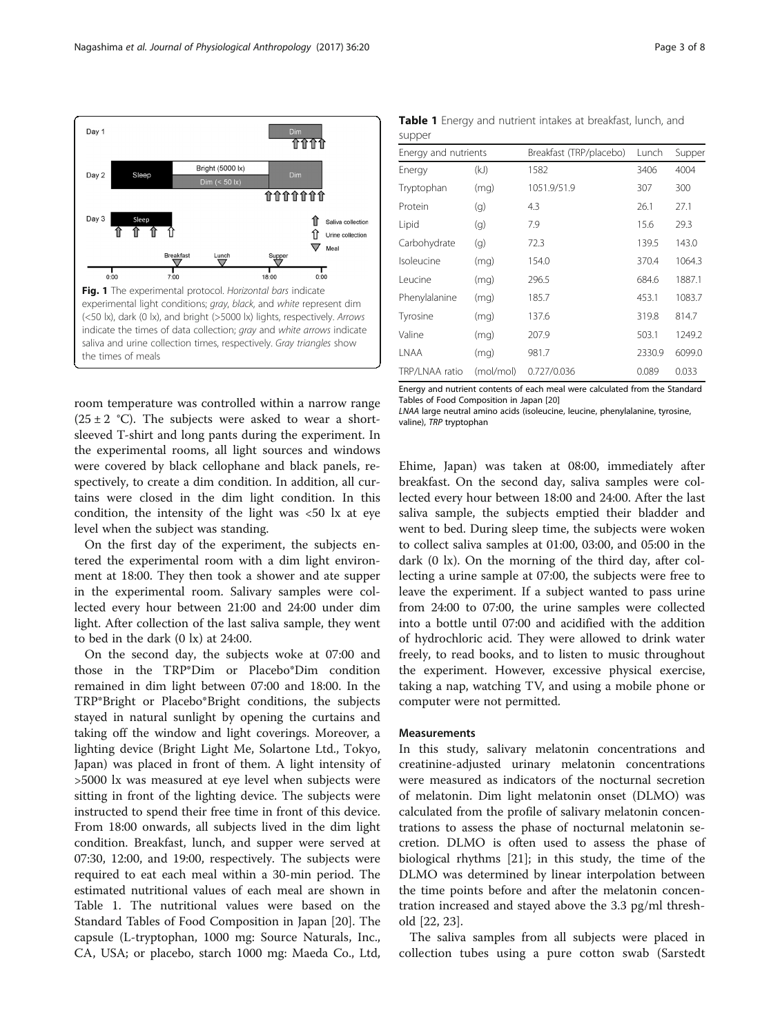<span id="page-2-0"></span>

room temperature was controlled within a narrow range  $(25 \pm 2 \degree C)$ . The subjects were asked to wear a shortsleeved T-shirt and long pants during the experiment. In the experimental rooms, all light sources and windows were covered by black cellophane and black panels, respectively, to create a dim condition. In addition, all curtains were closed in the dim light condition. In this condition, the intensity of the light was  $\langle 50 \rangle$  lx at eye level when the subject was standing.

On the first day of the experiment, the subjects entered the experimental room with a dim light environment at 18:00. They then took a shower and ate supper in the experimental room. Salivary samples were collected every hour between 21:00 and 24:00 under dim light. After collection of the last saliva sample, they went to bed in the dark (0 lx) at 24:00.

On the second day, the subjects woke at 07:00 and those in the TRP\*Dim or Placebo\*Dim condition remained in dim light between 07:00 and 18:00. In the TRP\*Bright or Placebo\*Bright conditions, the subjects stayed in natural sunlight by opening the curtains and taking off the window and light coverings. Moreover, a lighting device (Bright Light Me, Solartone Ltd., Tokyo, Japan) was placed in front of them. A light intensity of >5000 lx was measured at eye level when subjects were sitting in front of the lighting device. The subjects were instructed to spend their free time in front of this device. From 18:00 onwards, all subjects lived in the dim light condition. Breakfast, lunch, and supper were served at 07:30, 12:00, and 19:00, respectively. The subjects were required to eat each meal within a 30-min period. The estimated nutritional values of each meal are shown in Table 1. The nutritional values were based on the Standard Tables of Food Composition in Japan [\[20\]](#page-7-0). The capsule (L-tryptophan, 1000 mg: Source Naturals, Inc., CA, USA; or placebo, starch 1000 mg: Maeda Co., Ltd,

Table 1 Energy and nutrient intakes at breakfast, lunch, and supper

| Energy and nutrients |           | Breakfast (TRP/placebo) | Lunch  | Supper |
|----------------------|-----------|-------------------------|--------|--------|
| Energy               | (kJ)      | 1582                    | 3406   | 4004   |
| Tryptophan           | (mq)      | 1051.9/51.9             | 307    | 300    |
| Protein              | (g)       | 4.3                     | 26.1   | 27.1   |
| Lipid                | (g)       | 7.9                     | 15.6   | 29.3   |
| Carbohydrate         | (g)       | 72.3                    | 139.5  | 143.0  |
| Isoleucine           | (mq)      | 154.0                   | 370.4  | 1064.3 |
| Leucine              | (mq)      | 296.5                   | 684.6  | 1887.1 |
| Phenylalanine        | (mq)      | 185.7                   | 453.1  | 1083.7 |
| Tyrosine             | (mq)      | 137.6                   | 319.8  | 814.7  |
| Valine               | (mq)      | 207.9                   | 503.1  | 1249.2 |
| LNAA                 | (mq)      | 981.7                   | 2330.9 | 6099.0 |
| TRP/LNAA ratio       | (mol/mol) | 0.727/0.036             | 0.089  | 0.033  |
|                      |           |                         |        |        |

Energy and nutrient contents of each meal were calculated from the Standard Tables of Food Composition in Japan [[20\]](#page-7-0)

LNAA large neutral amino acids (isoleucine, leucine, phenylalanine, tyrosine, valine), TRP tryptophan

Ehime, Japan) was taken at 08:00, immediately after breakfast. On the second day, saliva samples were collected every hour between 18:00 and 24:00. After the last saliva sample, the subjects emptied their bladder and went to bed. During sleep time, the subjects were woken to collect saliva samples at 01:00, 03:00, and 05:00 in the dark (0 lx). On the morning of the third day, after collecting a urine sample at 07:00, the subjects were free to leave the experiment. If a subject wanted to pass urine from 24:00 to 07:00, the urine samples were collected into a bottle until 07:00 and acidified with the addition of hydrochloric acid. They were allowed to drink water freely, to read books, and to listen to music throughout the experiment. However, excessive physical exercise, taking a nap, watching TV, and using a mobile phone or computer were not permitted.

## Measurements

In this study, salivary melatonin concentrations and creatinine-adjusted urinary melatonin concentrations were measured as indicators of the nocturnal secretion of melatonin. Dim light melatonin onset (DLMO) was calculated from the profile of salivary melatonin concentrations to assess the phase of nocturnal melatonin secretion. DLMO is often used to assess the phase of biological rhythms [[21](#page-7-0)]; in this study, the time of the DLMO was determined by linear interpolation between the time points before and after the melatonin concentration increased and stayed above the 3.3 pg/ml threshold [[22, 23](#page-7-0)].

The saliva samples from all subjects were placed in collection tubes using a pure cotton swab (Sarstedt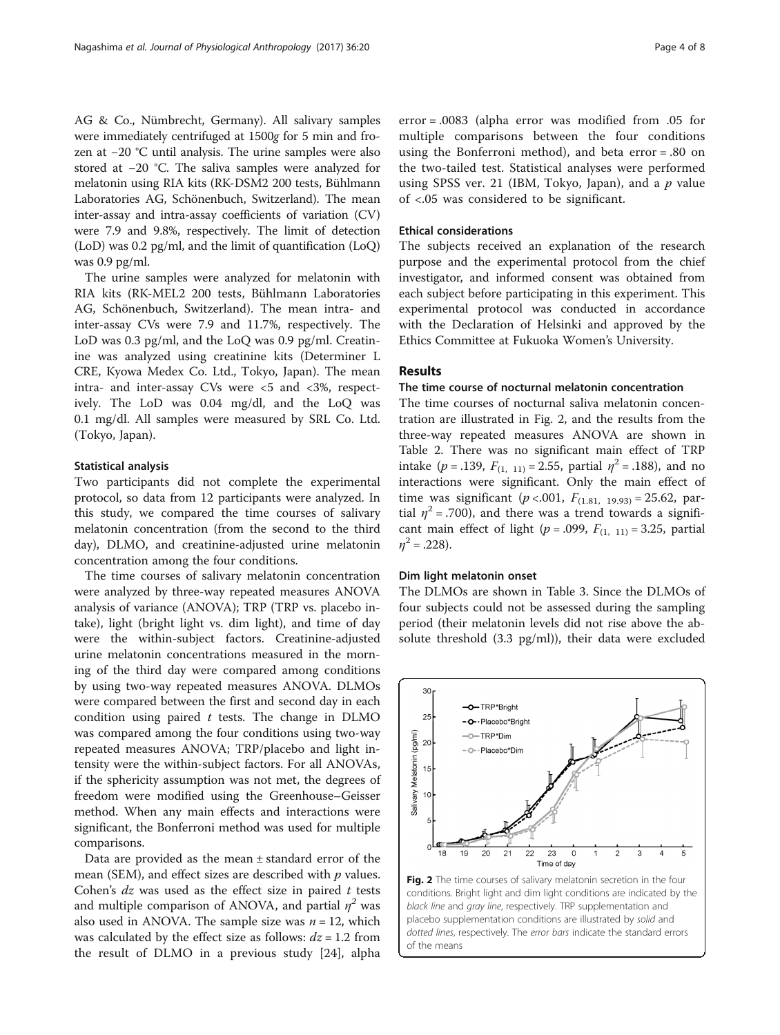AG & Co., Nümbrecht, Germany). All salivary samples were immediately centrifuged at 1500g for 5 min and frozen at −20 °C until analysis. The urine samples were also stored at −20 °C. The saliva samples were analyzed for melatonin using RIA kits (RK-DSM2 200 tests, Bühlmann Laboratories AG, Schönenbuch, Switzerland). The mean inter-assay and intra-assay coefficients of variation (CV) were 7.9 and 9.8%, respectively. The limit of detection (LoD) was 0.2 pg/ml, and the limit of quantification (LoQ) was 0.9 pg/ml.

The urine samples were analyzed for melatonin with RIA kits (RK-MEL2 200 tests, Bühlmann Laboratories AG, Schönenbuch, Switzerland). The mean intra- and inter-assay CVs were 7.9 and 11.7%, respectively. The LoD was 0.3 pg/ml, and the LoQ was 0.9 pg/ml. Creatinine was analyzed using creatinine kits (Determiner L CRE, Kyowa Medex Co. Ltd., Tokyo, Japan). The mean intra- and inter-assay CVs were <5 and <3%, respectively. The LoD was 0.04 mg/dl, and the LoQ was 0.1 mg/dl. All samples were measured by SRL Co. Ltd. (Tokyo, Japan).

### Statistical analysis

Two participants did not complete the experimental protocol, so data from 12 participants were analyzed. In this study, we compared the time courses of salivary melatonin concentration (from the second to the third day), DLMO, and creatinine-adjusted urine melatonin concentration among the four conditions.

The time courses of salivary melatonin concentration were analyzed by three-way repeated measures ANOVA analysis of variance (ANOVA); TRP (TRP vs. placebo intake), light (bright light vs. dim light), and time of day were the within-subject factors. Creatinine-adjusted urine melatonin concentrations measured in the morning of the third day were compared among conditions by using two-way repeated measures ANOVA. DLMOs were compared between the first and second day in each condition using paired  $t$  tests. The change in DLMO was compared among the four conditions using two-way repeated measures ANOVA; TRP/placebo and light intensity were the within-subject factors. For all ANOVAs, if the sphericity assumption was not met, the degrees of freedom were modified using the Greenhouse–Geisser method. When any main effects and interactions were significant, the Bonferroni method was used for multiple comparisons.

Data are provided as the mean  $\pm$  standard error of the mean (SEM), and effect sizes are described with  $p$  values. Cohen's  $dz$  was used as the effect size in paired  $t$  tests and multiple comparison of ANOVA, and partial  $\eta^2$  was also used in ANOVA. The sample size was  $n = 12$ , which was calculated by the effect size as follows:  $dz = 1.2$  from the result of DLMO in a previous study [[24](#page-7-0)], alpha

error = .0083 (alpha error was modified from .05 for multiple comparisons between the four conditions using the Bonferroni method), and beta error = .80 on the two-tailed test. Statistical analyses were performed using SPSS ver. 21 (IBM, Tokyo, Japan), and a  $p$  value of <.05 was considered to be significant.

## Ethical considerations

The subjects received an explanation of the research purpose and the experimental protocol from the chief investigator, and informed consent was obtained from each subject before participating in this experiment. This experimental protocol was conducted in accordance with the Declaration of Helsinki and approved by the Ethics Committee at Fukuoka Women's University.

# Results

# The time course of nocturnal melatonin concentration

The time courses of nocturnal saliva melatonin concentration are illustrated in Fig. 2, and the results from the three-way repeated measures ANOVA are shown in Table [2.](#page-4-0) There was no significant main effect of TRP intake ( $p = .139$ ,  $F_{(1, 11)} = 2.55$ , partial  $\eta^2 = .188$ ), and no interactions were significant. Only the main effect of time was significant ( $p < .001$ ,  $F_{(1.81, 19.93)} = 25.62$ , partial  $\eta^2$  = .700), and there was a trend towards a significant main effect of light ( $p = .099$ ,  $F_{(1, 11)} = 3.25$ , partial  $n^2 = .228$ ).

### Dim light melatonin onset

The DLMOs are shown in Table [3.](#page-4-0) Since the DLMOs of four subjects could not be assessed during the sampling period (their melatonin levels did not rise above the absolute threshold (3.3 pg/ml)), their data were excluded



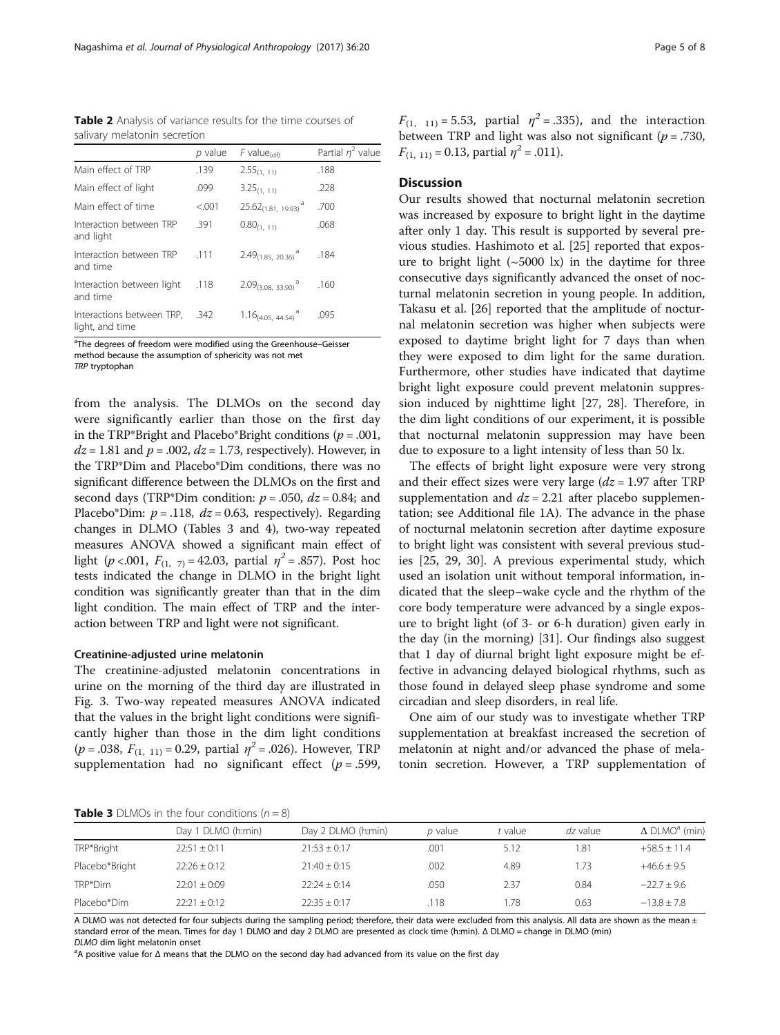<span id="page-4-0"></span>Table 2 Analysis of variance results for the time courses of salivary melatonin secretion

|                                              | p value | $F$ value <sub>(df)</sub>            | Partial $n^2$ value |
|----------------------------------------------|---------|--------------------------------------|---------------------|
| Main effect of TRP                           | .139    | $2.55_{(1, 11)}$                     | .188                |
| Main effect of light                         | .099    | $3.25_{(1, 11)}$                     | .228                |
| Main effect of time                          | < 0.01  | $25.62_{(1.81, 19.93)}$ <sup>a</sup> | .700                |
| Interaction between TRP<br>and light         | .391    | $0.80_{(1,-11)}$                     | .068                |
| Interaction between TRP<br>and time          | .111    | $2.49_{(1.85, 20.36)}$ <sup>a</sup>  | .184                |
| Interaction between light<br>and time        | .118    | $2.09_{(3.08, 33.90)}$ <sup>a</sup>  | .160                |
| Interactions between TRP,<br>light, and time | .342    | $1.16_{(4.05, 44.54)}$ <sup>a</sup>  | .095                |

<sup>a</sup>The degrees of freedom were modified using the Greenhouse–Geisser method because the assumption of sphericity was not met TRP tryptophan

from the analysis. The DLMOs on the second day were significantly earlier than those on the first day in the TRP\*Bright and Placebo\*Bright conditions ( $p = .001$ ,  $dz = 1.81$  and  $p = .002$ ,  $dz = 1.73$ , respectively). However, in the TRP\*Dim and Placebo\*Dim conditions, there was no significant difference between the DLMOs on the first and second days (TRP\*Dim condition:  $p = .050$ ,  $dz = 0.84$ ; and Placebo\*Dim:  $p = .118$ ,  $dz = 0.63$ , respectively). Regarding changes in DLMO (Tables 3 and [4\)](#page-5-0), two-way repeated measures ANOVA showed a significant main effect of light (p <.001,  $F_{(1, 7)} = 42.03$ , partial  $\eta^2 = .857$ ). Post hoc tests indicated the change in DLMO in the bright light condition was significantly greater than that in the dim light condition. The main effect of TRP and the interaction between TRP and light were not significant.

#### Creatinine-adjusted urine melatonin

The creatinine-adjusted melatonin concentrations in urine on the morning of the third day are illustrated in Fig. [3.](#page-5-0) Two-way repeated measures ANOVA indicated that the values in the bright light conditions were significantly higher than those in the dim light conditions  $(p = .038, F<sub>(1, 11)</sub> = 0.29, partial  $\eta^2 = .026$ ). However, TRP$ supplementation had no significant effect ( $p = .599$ ,  $F_{(1, 11)} = 5.53$ , partial  $\eta^2 = .335$ ), and the interaction between TRP and light was also not significant ( $p = .730$ ,  $F_{(1, 11)} = 0.13$ , partial  $\eta^2 = .011$ ).

# **Discussion**

Our results showed that nocturnal melatonin secretion was increased by exposure to bright light in the daytime after only 1 day. This result is supported by several previous studies. Hashimoto et al. [[25\]](#page-7-0) reported that exposure to bright light  $({\sim}5000 \text{ lx})$  in the daytime for three consecutive days significantly advanced the onset of nocturnal melatonin secretion in young people. In addition, Takasu et al. [[26\]](#page-7-0) reported that the amplitude of nocturnal melatonin secretion was higher when subjects were exposed to daytime bright light for 7 days than when they were exposed to dim light for the same duration. Furthermore, other studies have indicated that daytime bright light exposure could prevent melatonin suppression induced by nighttime light [\[27](#page-7-0), [28\]](#page-7-0). Therefore, in the dim light conditions of our experiment, it is possible that nocturnal melatonin suppression may have been due to exposure to a light intensity of less than 50 lx.

The effects of bright light exposure were very strong and their effect sizes were very large  $(dz = 1.97$  after TRP supplementation and  $dz = 2.21$  after placebo supplementation; see Additional file [1A](#page-6-0)). The advance in the phase of nocturnal melatonin secretion after daytime exposure to bright light was consistent with several previous studies [\[25](#page-7-0), [29, 30](#page-7-0)]. A previous experimental study, which used an isolation unit without temporal information, indicated that the sleep–wake cycle and the rhythm of the core body temperature were advanced by a single exposure to bright light (of 3- or 6-h duration) given early in the day (in the morning) [[31](#page-7-0)]. Our findings also suggest that 1 day of diurnal bright light exposure might be effective in advancing delayed biological rhythms, such as those found in delayed sleep phase syndrome and some circadian and sleep disorders, in real life.

One aim of our study was to investigate whether TRP supplementation at breakfast increased the secretion of melatonin at night and/or advanced the phase of melatonin secretion. However, a TRP supplementation of

**Table 3** DLMOs in the four conditions  $(n - 8)$ 

| <b>TUDIC 3</b> DERIVES ITT LITE TOUT CONDITIONS $\mathbf{U}I = \mathbf{U}I$ |                    |                    |                |         |          |                                  |
|-----------------------------------------------------------------------------|--------------------|--------------------|----------------|---------|----------|----------------------------------|
|                                                                             | Day 1 DLMO (h:min) | Day 2 DLMO (h:min) | <i>p</i> value | t value | dz value | $\Delta$ DLMO <sup>a</sup> (min) |
| TRP*Bright                                                                  | $22:51 \pm 0:11$   | $21:53 \pm 0:17$   | .001           | 5.12    | 1.81     | $+58.5 \pm 11.4$                 |
| Placebo*Bright                                                              | $22:26 + 0:12$     | $21:40 \pm 0:15$   | .002           | 4.89    | 1.73     | $+46.6 \pm 9.5$                  |
| TRP*Dim                                                                     | $22:01 \pm 0:09$   | $22:24 \pm 0:14$   | .050           | 2.37    | 0.84     | $-22.7 \pm 9.6$                  |
| Placebo*Dim                                                                 | $22:21 + 0:12$     | $22:35 \pm 0:17$   | .118           | 1.78    | 0.63     | $-13.8 + 7.8$                    |

A DLMO was not detected for four subjects during the sampling period; therefore, their data were excluded from this analysis. All data are shown as the mean ± standard error of the mean. Times for day 1 DLMO and day 2 DLMO are presented as clock time (h:min). Δ DLMO = change in DLMO (min) DLMO dim light melatonin onset

A positive value for Δ means that the DLMO on the second day had advanced from its value on the first day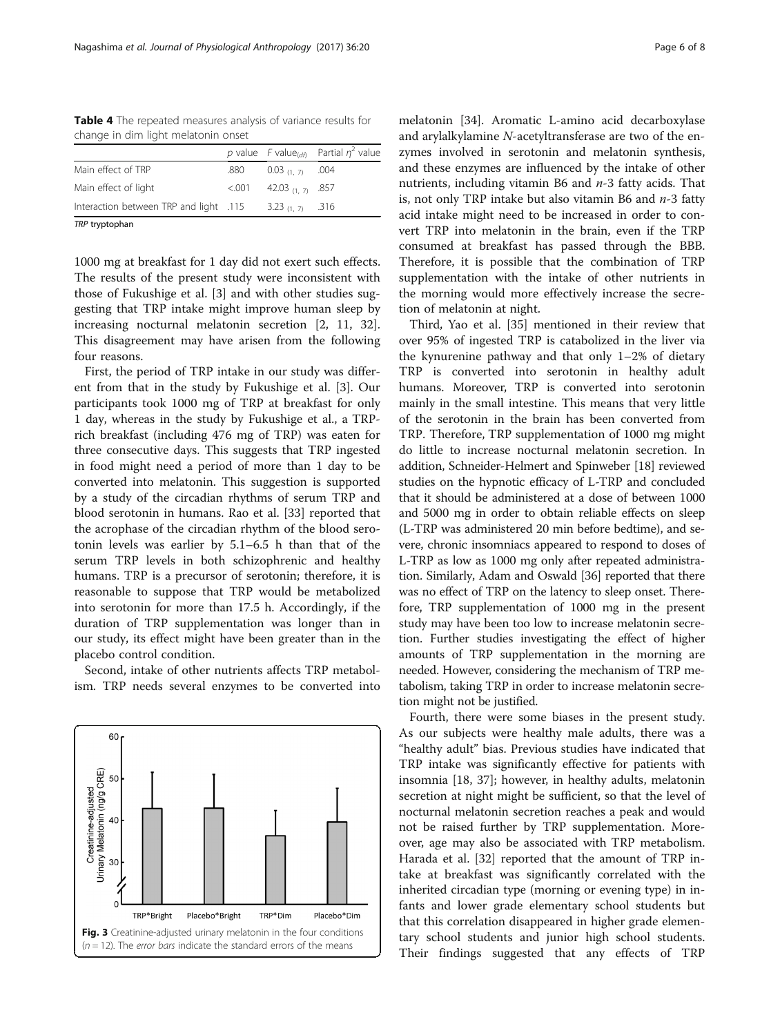<span id="page-5-0"></span>Table 4 The repeated measures analysis of variance results for change in dim light melatonin onset

|                                                          |      |                             | p value F value <sub>(df)</sub> Partial $\eta^2$ value |
|----------------------------------------------------------|------|-----------------------------|--------------------------------------------------------|
| Main effect of TRP                                       | .880 | $0.03_{(1,7)}$ .004         |                                                        |
| Main effect of light                                     |      | $< 0.001$ 42.03 (1, 7) .857 |                                                        |
| Interaction between TRP and light .115 3.23 $(1.7)$ .316 |      |                             |                                                        |
|                                                          |      |                             |                                                        |

TRP tryptophan

1000 mg at breakfast for 1 day did not exert such effects. The results of the present study were inconsistent with those of Fukushige et al. [[3\]](#page-7-0) and with other studies suggesting that TRP intake might improve human sleep by increasing nocturnal melatonin secretion [[2, 11](#page-7-0), [32](#page-7-0)]. This disagreement may have arisen from the following four reasons.

First, the period of TRP intake in our study was different from that in the study by Fukushige et al. [[3\]](#page-7-0). Our participants took 1000 mg of TRP at breakfast for only 1 day, whereas in the study by Fukushige et al., a TRPrich breakfast (including 476 mg of TRP) was eaten for three consecutive days. This suggests that TRP ingested in food might need a period of more than 1 day to be converted into melatonin. This suggestion is supported by a study of the circadian rhythms of serum TRP and blood serotonin in humans. Rao et al. [[33\]](#page-7-0) reported that the acrophase of the circadian rhythm of the blood serotonin levels was earlier by 5.1–6.5 h than that of the serum TRP levels in both schizophrenic and healthy humans. TRP is a precursor of serotonin; therefore, it is reasonable to suppose that TRP would be metabolized into serotonin for more than 17.5 h. Accordingly, if the duration of TRP supplementation was longer than in our study, its effect might have been greater than in the placebo control condition.

Second, intake of other nutrients affects TRP metabolism. TRP needs several enzymes to be converted into



melatonin [[34](#page-7-0)]. Aromatic L-amino acid decarboxylase and arylalkylamine N-acetyltransferase are two of the enzymes involved in serotonin and melatonin synthesis, and these enzymes are influenced by the intake of other nutrients, including vitamin B6 and  $n-3$  fatty acids. That is, not only TRP intake but also vitamin B6 and  $n-3$  fatty acid intake might need to be increased in order to convert TRP into melatonin in the brain, even if the TRP consumed at breakfast has passed through the BBB. Therefore, it is possible that the combination of TRP supplementation with the intake of other nutrients in the morning would more effectively increase the secretion of melatonin at night.

Third, Yao et al. [\[35\]](#page-7-0) mentioned in their review that over 95% of ingested TRP is catabolized in the liver via the kynurenine pathway and that only 1–2% of dietary TRP is converted into serotonin in healthy adult humans. Moreover, TRP is converted into serotonin mainly in the small intestine. This means that very little of the serotonin in the brain has been converted from TRP. Therefore, TRP supplementation of 1000 mg might do little to increase nocturnal melatonin secretion. In addition, Schneider-Helmert and Spinweber [\[18](#page-7-0)] reviewed studies on the hypnotic efficacy of L-TRP and concluded that it should be administered at a dose of between 1000 and 5000 mg in order to obtain reliable effects on sleep (L-TRP was administered 20 min before bedtime), and severe, chronic insomniacs appeared to respond to doses of L-TRP as low as 1000 mg only after repeated administration. Similarly, Adam and Oswald [[36](#page-7-0)] reported that there was no effect of TRP on the latency to sleep onset. Therefore, TRP supplementation of 1000 mg in the present study may have been too low to increase melatonin secretion. Further studies investigating the effect of higher amounts of TRP supplementation in the morning are needed. However, considering the mechanism of TRP metabolism, taking TRP in order to increase melatonin secretion might not be justified.

Fourth, there were some biases in the present study. As our subjects were healthy male adults, there was a "healthy adult" bias. Previous studies have indicated that TRP intake was significantly effective for patients with insomnia [[18, 37](#page-7-0)]; however, in healthy adults, melatonin secretion at night might be sufficient, so that the level of nocturnal melatonin secretion reaches a peak and would not be raised further by TRP supplementation. Moreover, age may also be associated with TRP metabolism. Harada et al. [[32\]](#page-7-0) reported that the amount of TRP intake at breakfast was significantly correlated with the inherited circadian type (morning or evening type) in infants and lower grade elementary school students but that this correlation disappeared in higher grade elementary school students and junior high school students. Their findings suggested that any effects of TRP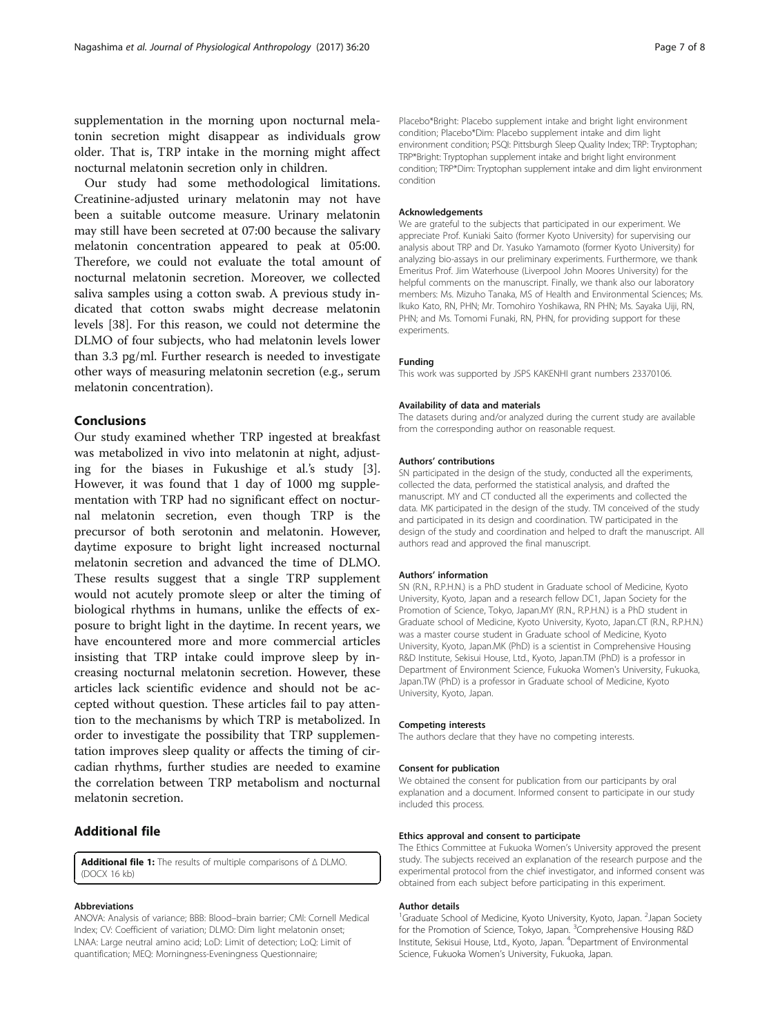<span id="page-6-0"></span>supplementation in the morning upon nocturnal melatonin secretion might disappear as individuals grow older. That is, TRP intake in the morning might affect nocturnal melatonin secretion only in children.

Our study had some methodological limitations. Creatinine-adjusted urinary melatonin may not have been a suitable outcome measure. Urinary melatonin may still have been secreted at 07:00 because the salivary melatonin concentration appeared to peak at 05:00. Therefore, we could not evaluate the total amount of nocturnal melatonin secretion. Moreover, we collected saliva samples using a cotton swab. A previous study indicated that cotton swabs might decrease melatonin levels [[38\]](#page-7-0). For this reason, we could not determine the DLMO of four subjects, who had melatonin levels lower than 3.3 pg/ml. Further research is needed to investigate other ways of measuring melatonin secretion (e.g., serum melatonin concentration).

# Conclusions

Our study examined whether TRP ingested at breakfast was metabolized in vivo into melatonin at night, adjusting for the biases in Fukushige et al.'s study [\[3](#page-7-0)]. However, it was found that 1 day of 1000 mg supplementation with TRP had no significant effect on nocturnal melatonin secretion, even though TRP is the precursor of both serotonin and melatonin. However, daytime exposure to bright light increased nocturnal melatonin secretion and advanced the time of DLMO. These results suggest that a single TRP supplement would not acutely promote sleep or alter the timing of biological rhythms in humans, unlike the effects of exposure to bright light in the daytime. In recent years, we have encountered more and more commercial articles insisting that TRP intake could improve sleep by increasing nocturnal melatonin secretion. However, these articles lack scientific evidence and should not be accepted without question. These articles fail to pay attention to the mechanisms by which TRP is metabolized. In order to investigate the possibility that TRP supplementation improves sleep quality or affects the timing of circadian rhythms, further studies are needed to examine the correlation between TRP metabolism and nocturnal melatonin secretion.

# Additional file

[Additional file 1:](dx.doi.org/10.1186/s40101-017-0135-9) The results of multiple comparisons of Δ DLMO. (DOCX 16 kb)

#### Abbreviations

ANOVA: Analysis of variance; BBB: Blood–brain barrier; CMI: Cornell Medical Index; CV: Coefficient of variation; DLMO: Dim light melatonin onset; LNAA: Large neutral amino acid; LoD: Limit of detection; LoQ: Limit of quantification; MEQ: Morningness-Eveningness Questionnaire;

Placebo\*Bright: Placebo supplement intake and bright light environment condition; Placebo\*Dim: Placebo supplement intake and dim light environment condition; PSQI: Pittsburgh Sleep Quality Index; TRP: Tryptophan; TRP\*Bright: Tryptophan supplement intake and bright light environment condition; TRP\*Dim: Tryptophan supplement intake and dim light environment condition

#### Acknowledgements

We are grateful to the subjects that participated in our experiment. We appreciate Prof. Kuniaki Saito (former Kyoto University) for supervising our analysis about TRP and Dr. Yasuko Yamamoto (former Kyoto University) for analyzing bio-assays in our preliminary experiments. Furthermore, we thank Emeritus Prof. Jim Waterhouse (Liverpool John Moores University) for the helpful comments on the manuscript. Finally, we thank also our laboratory members: Ms. Mizuho Tanaka, MS of Health and Environmental Sciences; Ms. Ikuko Kato, RN, PHN; Mr. Tomohiro Yoshikawa, RN PHN; Ms. Sayaka Uiji, RN, PHN; and Ms. Tomomi Funaki, RN, PHN, for providing support for these experiments.

#### Funding

This work was supported by JSPS KAKENHI grant numbers 23370106.

#### Availability of data and materials

The datasets during and/or analyzed during the current study are available from the corresponding author on reasonable request.

#### Authors' contributions

SN participated in the design of the study, conducted all the experiments, collected the data, performed the statistical analysis, and drafted the manuscript. MY and CT conducted all the experiments and collected the data. MK participated in the design of the study. TM conceived of the study and participated in its design and coordination. TW participated in the design of the study and coordination and helped to draft the manuscript. All authors read and approved the final manuscript.

#### Authors' information

SN (R.N., R.P.H.N.) is a PhD student in Graduate school of Medicine, Kyoto University, Kyoto, Japan and a research fellow DC1, Japan Society for the Promotion of Science, Tokyo, Japan.MY (R.N., R.P.H.N.) is a PhD student in Graduate school of Medicine, Kyoto University, Kyoto, Japan.CT (R.N., R.P.H.N.) was a master course student in Graduate school of Medicine, Kyoto University, Kyoto, Japan.MK (PhD) is a scientist in Comprehensive Housing R&D Institute, Sekisui House, Ltd., Kyoto, Japan.TM (PhD) is a professor in Department of Environment Science, Fukuoka Women's University, Fukuoka, Japan.TW (PhD) is a professor in Graduate school of Medicine, Kyoto University, Kyoto, Japan.

#### Competing interests

The authors declare that they have no competing interests.

#### Consent for publication

We obtained the consent for publication from our participants by oral explanation and a document. Informed consent to participate in our study included this process.

#### Ethics approval and consent to participate

The Ethics Committee at Fukuoka Women's University approved the present study. The subjects received an explanation of the research purpose and the experimental protocol from the chief investigator, and informed consent was obtained from each subject before participating in this experiment.

#### Author details

<sup>1</sup>Graduate School of Medicine, Kyoto University, Kyoto, Japan. <sup>2</sup>Japan Society for the Promotion of Science, Tokyo, Japan. <sup>3</sup>Comprehensive Housing R&D Institute, Sekisui House, Ltd., Kyoto, Japan. <sup>4</sup> Department of Environmental Science, Fukuoka Women's University, Fukuoka, Japan.